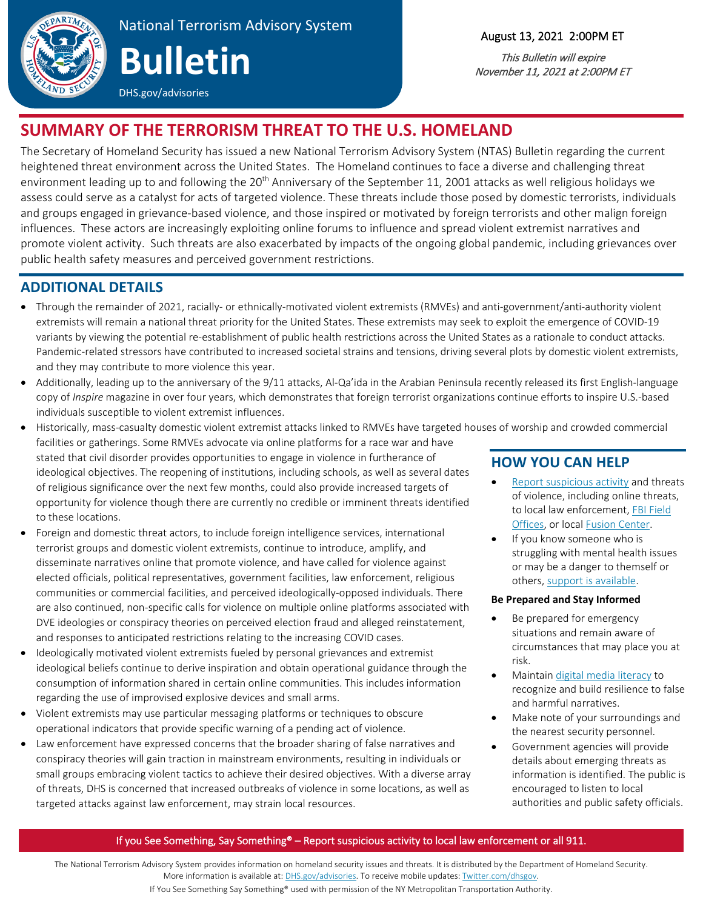

# National Terrorism Advisory System

# **Bulletin**

DHS.gov/advisories

### August 13, 2021 2:00PM ET

This Bulletin will expire November 11, 2021 at 2:00PM ET

# **SUMMARY OF THE TERRORISM THREAT TO THE U.S. HOMELAND**

The Secretary of Homeland Security has issued a new National Terrorism Advisory System (NTAS) Bulletin regarding the current heightened threat environment across the United States. The Homeland continues to face a diverse and challenging threat environment leading up to and following the 20<sup>th</sup> Anniversary of the September 11, 2001 attacks as well religious holidays we assess could serve as a catalyst for acts of targeted violence. These threats include those posed by domestic terrorists, individuals and groups engaged in grievance-based violence, and those inspired or motivated by foreign terrorists and other malign foreign influences. These actors are increasingly exploiting online forums to influence and spread violent extremist narratives and promote violent activity. Such threats are also exacerbated by impacts of the ongoing global pandemic, including grievances over public health safety measures and perceived government restrictions.

# **ADDITIONAL DETAILS**

- Through the remainder of 2021, racially- or ethnically-motivated violent extremists (RMVEs) and anti-government/anti-authority violent extremists will remain a national threat priority for the United States. These extremists may seek to exploit the emergence of COVID-19 variants by viewing the potential re-establishment of public health restrictions across the United States as a rationale to conduct attacks. Pandemic-related stressors have contributed to increased societal strains and tensions, driving several plots by domestic violent extremists, and they may contribute to more violence this year.
- Additionally, leading up to the anniversary of the 9/11 attacks, Al-Qa'ida in the Arabian Peninsula recently released its first English-language copy of *Inspire* magazine in over four years, which demonstrates that foreign terrorist organizations continue efforts to inspire U.S.-based individuals susceptible to violent extremist influences.
- Historically, mass-casualty domestic violent extremist attacks linked to RMVEs have targeted houses of worship and crowded commercial

facilities or gatherings. Some RMVEs advocate via online platforms for a race war and have stated that civil disorder provides opportunities to engage in violence in furtherance of ideological objectives. The reopening of institutions, including schools, as well as several dates of religious significance over the next few months, could also provide increased targets of opportunity for violence though there are currently no credible or imminent threats identified to these locations.

- Foreign and domestic threat actors, to include foreign intelligence services, international terrorist groups and domestic violent extremists, continue to introduce, amplify, and disseminate narratives online that promote violence, and have called for violence against elected officials, political representatives, government facilities, law enforcement, religious communities or commercial facilities, and perceived ideologically-opposed individuals. There are also continued, non-specific calls for violence on multiple online platforms associated with DVE ideologies or conspiracy theories on perceived election fraud and alleged reinstatement, and responses to anticipated restrictions relating to the increasing COVID cases.
- Ideologically motivated violent extremists fueled by personal grievances and extremist ideological beliefs continue to derive inspiration and obtain operational guidance through the consumption of information shared in certain online communities. This includes information regarding the use of improvised explosive devices and small arms.
- Violent extremists may use particular messaging platforms or techniques to obscure operational indicators that provide specific warning of a pending act of violence.
- Law enforcement have expressed concerns that the broader sharing of false narratives and conspiracy theories will gain traction in mainstream environments, resulting in individuals or small groups embracing violent tactics to achieve their desired objectives. With a diverse array of threats, DHS is concerned that increased outbreaks of violence in some locations, as well as targeted attacks against law enforcement, may strain local resources.

# **HOW YOU CAN HELP**

- [Report suspicious activity](https://www.dhs.gov/nsi) and threats of violence, including online threats, to local law enforcement, FBI Field [Offices,](https://www.fbi.gov/contact-us/field-offices) or loca[l Fusion Center.](https://www.dhs.gov/fusion-center-locations-and-contact-information)
- If you know someone who is struggling with mental health issues or may be a danger to themself or others[, support is available.](https://www.samhsa.gov/)

#### **Be Prepared and Stay Informed**

- Be prepared for emergency situations and remain aware of circumstances that may place you at risk.
- Maintai[n digital media literacy](https://www.dhs.gov/publication/media-literacy-and-critical-thinking-online) to recognize and build resilience to false and harmful narratives.
- Make note of your surroundings and the nearest security personnel.
- Government agencies will provide details about emerging threats as information is identified. The public is encouraged to listen to local authorities and public safety officials.

#### If you See Something, Say Something® – Report suspicious activity to local law enforcement or all 911.

The National Terrorism Advisory System provides information on homeland security issues and threats. It is distributed by the Department of Homeland Security. More information is available at[: DHS.gov/advisories.](http://www.dhs.gov/advisories) To receive mobile updates[: Twitter.com/dhsgov.](http://www.twitter.com/dhsgov)